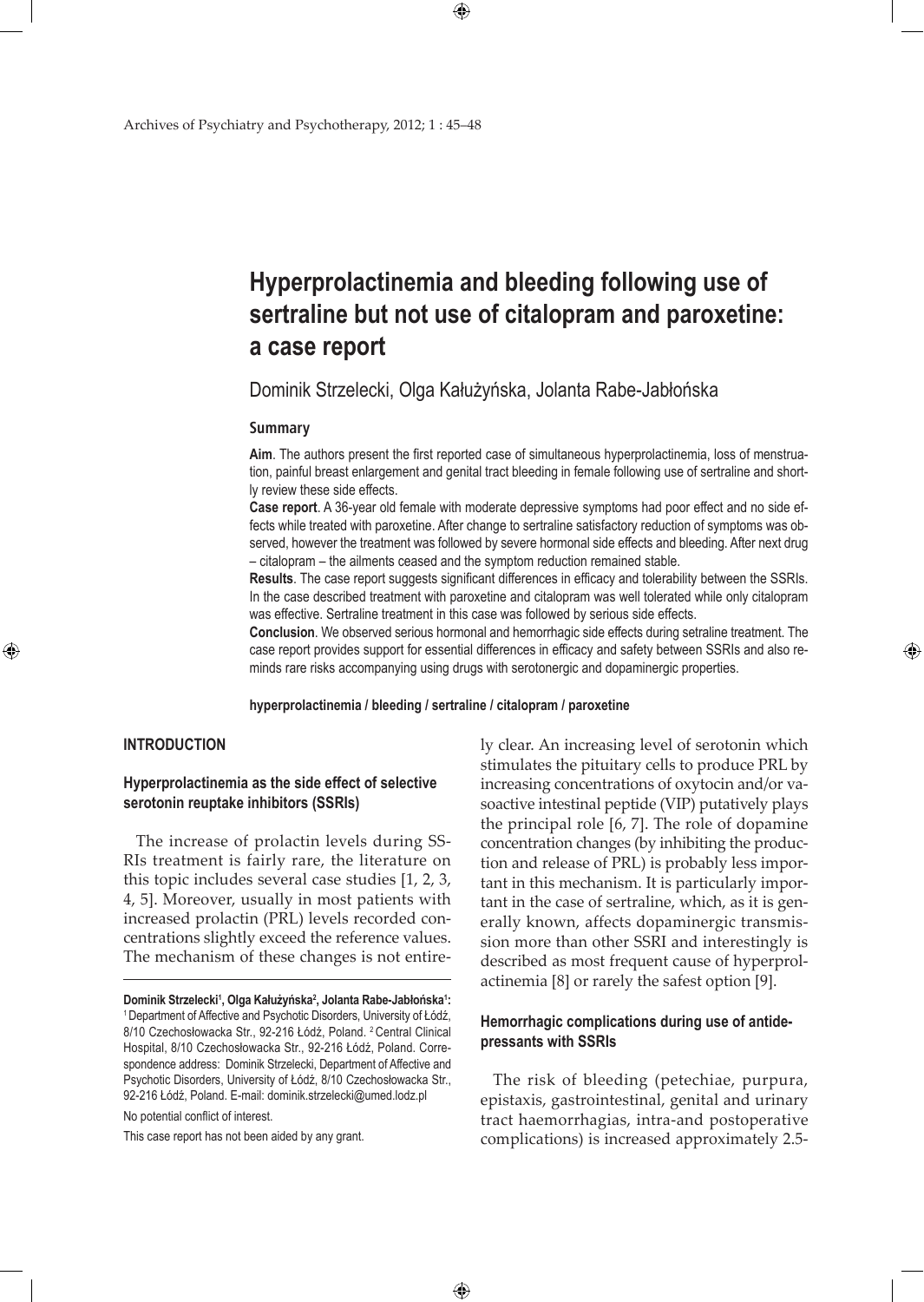# **Hyperprolactinemia and bleeding following use of sertraline but not use of citalopram and paroxetine: a case report**

Dominik Strzelecki, Olga Kałużyńska, Jolanta Rabe-Jabłońska

#### **Summary**

**Aim**. The authors present the first reported case of simultaneous hyperprolactinemia, loss of menstruation, painful breast enlargement and genital tract bleeding in female following use of sertraline and shortly review these side effects.

**Case report**. A 36-year old female with moderate depressive symptoms had poor effect and no side effects while treated with paroxetine. After change to sertraline satisfactory reduction of symptoms was observed, however the treatment was followed by severe hormonal side effects and bleeding. After next drug – citalopram – the ailments ceased and the symptom reduction remained stable.

**Results**. The case report suggests significant differences in efficacy and tolerability between the SSRIs. In the case described treatment with paroxetine and citalopram was well tolerated while only citalopram was effective. Sertraline treatment in this case was followed by serious side effects.

**Conclusion**. We observed serious hormonal and hemorrhagic side effects during setraline treatment. The case report provides support for essential differences in efficacy and safety between SSRIs and also reminds rare risks accompanying using drugs with serotonergic and dopaminergic properties.

**hyperprolactinemia / bleeding / sertraline / citalopram / paroxetine**

 $\bigoplus$ 

## **INTRODUCTION**

⊕

## **Hyperprolactinemia as the side effect of selective serotonin reuptake inhibitors (SSRIs)**

The increase of prolactin levels during SS-RIs treatment is fairly rare, the literature on this topic includes several case studies [1, 2, 3, 4, 5]. Moreover, usually in most patients with increased prolactin (PRL) levels recorded concentrations slightly exceed the reference values. The mechanism of these changes is not entire-

No potential conflict of interest.

This case report has not been aided by any grant.

ly clear. An increasing level of serotonin which stimulates the pituitary cells to produce PRL by increasing concentrations of oxytocin and/or vasoactive intestinal peptide (VIP) putatively plays the principal role [6, 7]. The role of dopamine concentration changes (by inhibiting the production and release of PRL) is probably less important in this mechanism. It is particularly important in the case of sertraline, which, as it is generally known, affects dopaminergic transmission more than other SSRI and interestingly is described as most frequent cause of hyperprolactinemia [8] or rarely the safest option [9].

⊕

## **Hemorrhagic complications during use of antidepressants with SSRIs**

The risk of bleeding (petechiae, purpura, epistaxis, gastrointestinal, genital and urinary tract haemorrhagias, intra-and postoperative complications) is increased approximately 2.5-

 $\bigoplus$ 

**Dominik Strzelecki1 , Olga Kałużyńska<sup>2</sup> , Jolanta Rabe-Jabłońska<sup>1</sup> :** 1 Department of Affective and Psychotic Disorders, University of Łódź, 8/10 Czechosłowacka Str., 92-216 Łódź, Poland. 2 Central Clinical Hospital, 8/10 Czechosłowacka Str., 92-216 Łódź, Poland. Correspondence address: Dominik Strzelecki, Department of Affective and Psychotic Disorders, University of Łódź, 8/10 Czechosłowacka Str., 92-216 Łódź, Poland. E-mail: dominik.strzelecki@umed.lodz.pl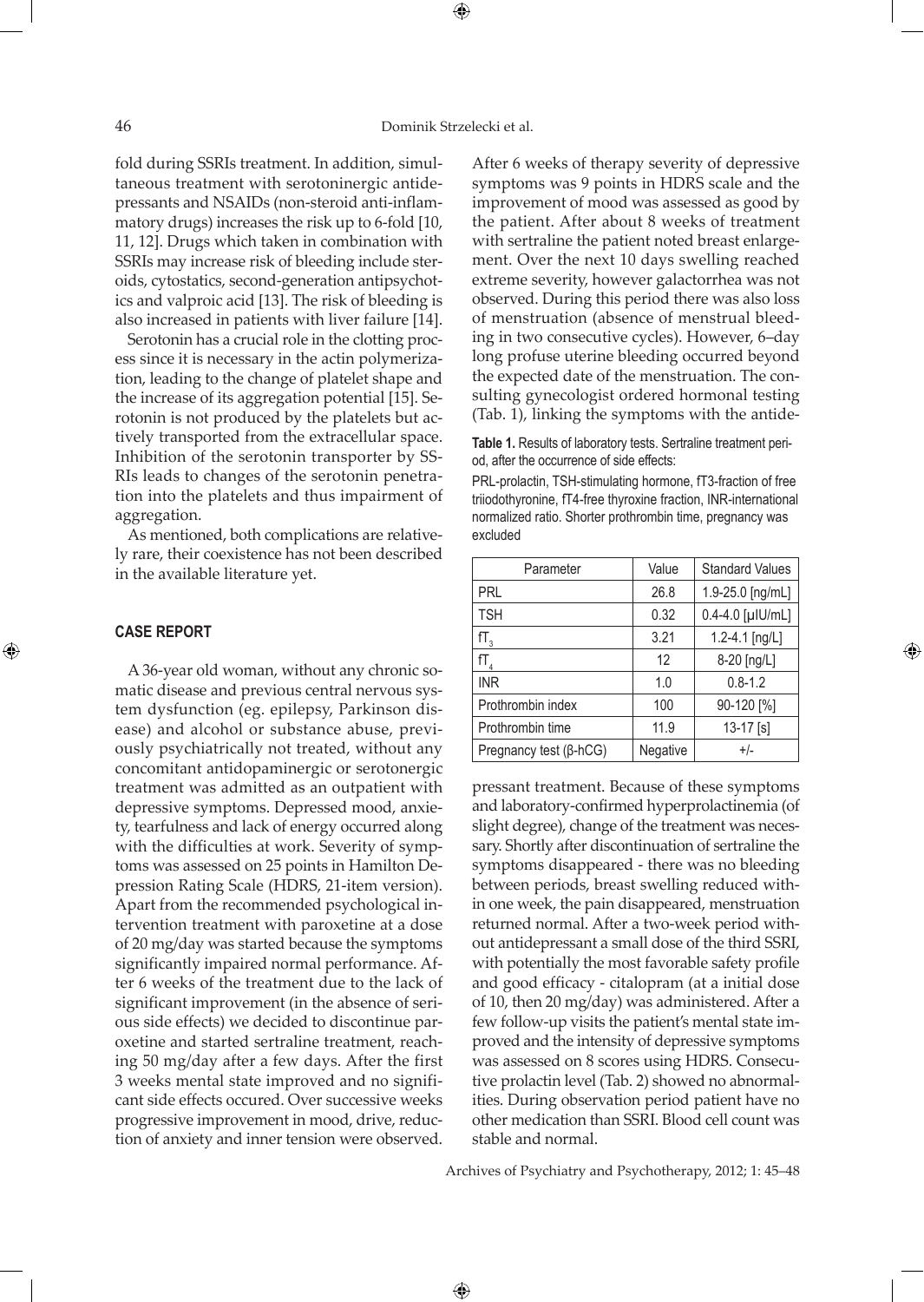⊕

fold during SSRIs treatment. In addition, simultaneous treatment with serotoninergic antidepressants and NSAIDs (non-steroid anti-inflammatory drugs) increases the risk up to 6-fold [10, 11, 12]. Drugs which taken in combination with SSRIs may increase risk of bleeding include steroids, cytostatics, second-generation antipsychotics and valproic acid [13]. The risk of bleeding is also increased in patients with liver failure [14].

Serotonin has a crucial role in the clotting process since it is necessary in the actin polymerization, leading to the change of platelet shape and the increase of its aggregation potential [15]. Serotonin is not produced by the platelets but actively transported from the extracellular space. Inhibition of the serotonin transporter by SS-RIs leads to changes of the serotonin penetration into the platelets and thus impairment of aggregation.

As mentioned, both complications are relatively rare, their coexistence has not been described in the available literature yet.

## **CASE REPORT**

⊕

A 36-year old woman, without any chronic somatic disease and previous central nervous system dysfunction (eg. epilepsy, Parkinson disease) and alcohol or substance abuse, previously psychiatrically not treated, without any concomitant antidopaminergic or serotonergic treatment was admitted as an outpatient with depressive symptoms. Depressed mood, anxiety, tearfulness and lack of energy occurred along with the difficulties at work. Severity of symptoms was assessed on 25 points in Hamilton Depression Rating Scale (HDRS, 21-item version). Apart from the recommended psychological intervention treatment with paroxetine at a dose of 20 mg/day was started because the symptoms significantly impaired normal performance. After 6 weeks of the treatment due to the lack of significant improvement (in the absence of serious side effects) we decided to discontinue paroxetine and started sertraline treatment, reaching 50 mg/day after a few days. After the first 3 weeks mental state improved and no significant side effects occured. Over successive weeks progressive improvement in mood, drive, reduction of anxiety and inner tension were observed.

After 6 weeks of therapy severity of depressive symptoms was 9 points in HDRS scale and the improvement of mood was assessed as good by the patient. After about 8 weeks of treatment with sertraline the patient noted breast enlargement. Over the next 10 days swelling reached extreme severity, however galactorrhea was not observed. During this period there was also loss of menstruation (absence of menstrual bleeding in two consecutive cycles). However, 6–day long profuse uterine bleeding occurred beyond the expected date of the menstruation. The consulting gynecologist ordered hormonal testing (Tab. 1), linking the symptoms with the antide-

**Table 1.** Results of laboratory tests. Sertraline treatment period, after the occurrence of side effects:

PRL-prolactin, TSH-stimulating hormone, fT3-fraction of free triiodothyronine, fT4-free thyroxine fraction, INR-international normalized ratio. Shorter prothrombin time, pregnancy was excluded

| Parameter                     | Value    | <b>Standard Values</b> |
|-------------------------------|----------|------------------------|
| <b>PRL</b>                    | 26.8     | 1.9-25.0 [ng/mL]       |
| <b>TSH</b>                    | 0.32     | $0.4 - 4.0$ [µlU/mL]   |
| $fT_{\rm a}$                  | 3.21     | 1.2-4.1 [ng/L]         |
| $fT_{\rm A}$                  | 12       | 8-20 [ng/L]            |
| <b>INR</b>                    | 1.0      | $0.8 - 1.2$            |
| Prothrombin index             | 100      | 90-120 [%]             |
| Prothrombin time              | 11.9     | $13-17$ [s]            |
| Pregnancy test $(\beta$ -hCG) | Negative | $+/-$                  |

⊕

pressant treatment. Because of these symptoms and laboratory-confirmed hyperprolactinemia (of slight degree), change of the treatment was necessary. Shortly after discontinuation of sertraline the symptoms disappeared - there was no bleeding between periods, breast swelling reduced within one week, the pain disappeared, menstruation returned normal. After a two-week period without antidepressant a small dose of the third SSRI, with potentially the most favorable safety profile and good efficacy - citalopram (at a initial dose of 10, then 20 mg/day) was administered. After a few follow-up visits the patient's mental state improved and the intensity of depressive symptoms was assessed on 8 scores using HDRS. Consecutive prolactin level (Tab. 2) showed no abnormalities. During observation period patient have no other medication than SSRI. Blood cell count was stable and normal.

Archives of Psychiatry and Psychotherapy, 2012; 1: 45–48

 $\bigoplus$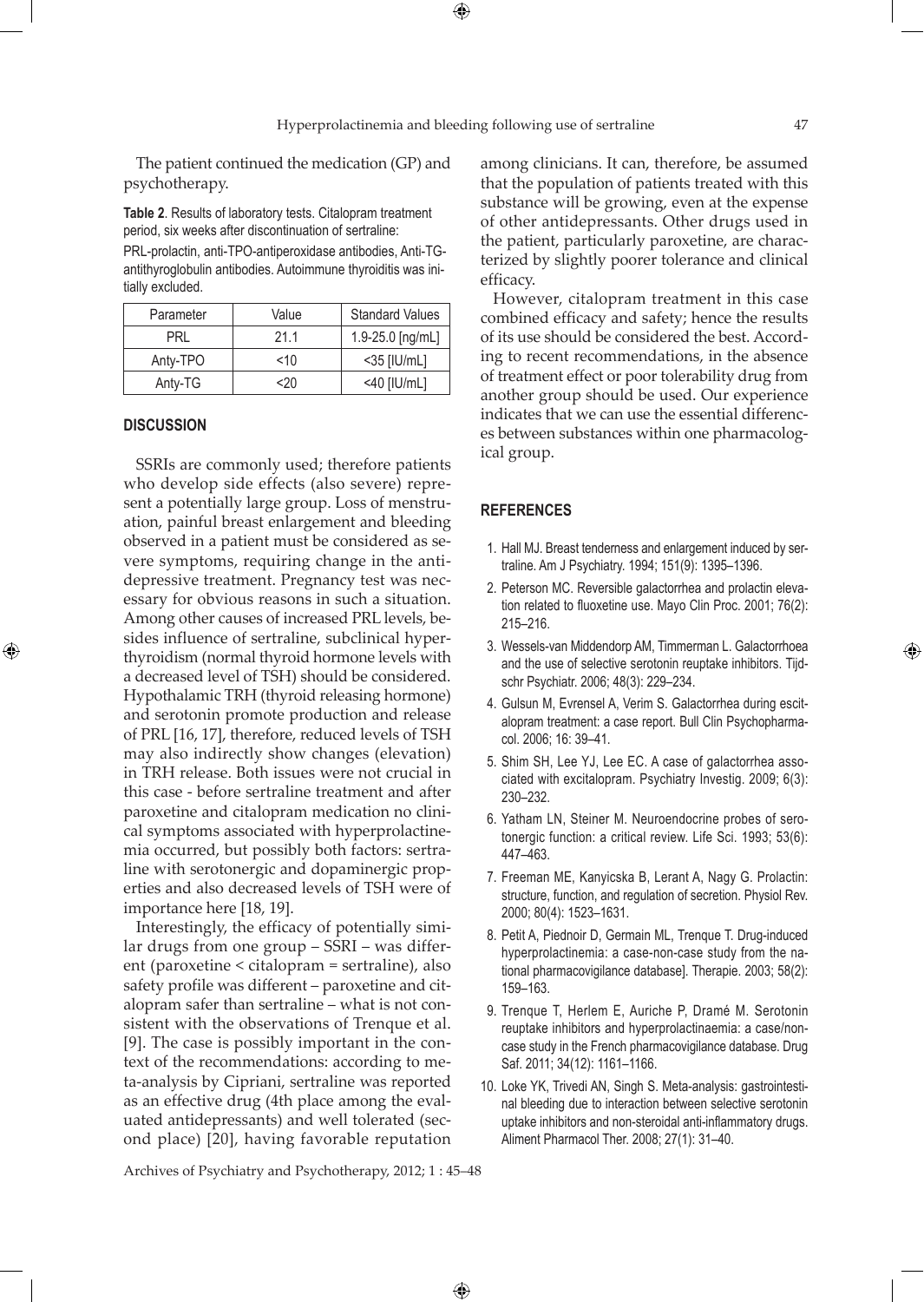$\bigoplus$ 

The patient continued the medication (GP) and psychotherapy.

**Table 2**. Results of laboratory tests. Citalopram treatment period, six weeks after discontinuation of sertraline:

PRL-prolactin, anti-TPO-antiperoxidase antibodies, Anti-TGantithyroglobulin antibodies. Autoimmune thyroiditis was initially excluded.

| Parameter | Value | <b>Standard Values</b> |
|-----------|-------|------------------------|
| PRI       | 21.1  | 1.9-25.0 [ng/mL]       |
| Anty-TPO  | ~10   | $<$ 35 [IU/mL]         |
| Anty-TG   | <20   | $<$ 40 [IU/mL]         |

#### **DISCUSSION**

⊕

SSRIs are commonly used; therefore patients who develop side effects (also severe) represent a potentially large group. Loss of menstruation, painful breast enlargement and bleeding observed in a patient must be considered as severe symptoms, requiring change in the antidepressive treatment. Pregnancy test was necessary for obvious reasons in such a situation. Among other causes of increased PRL levels, besides influence of sertraline, subclinical hyperthyroidism (normal thyroid hormone levels with a decreased level of TSH) should be considered. Hypothalamic TRH (thyroid releasing hormone) and serotonin promote production and release of PRL [16, 17], therefore, reduced levels of TSH may also indirectly show changes (elevation) in TRH release. Both issues were not crucial in this case - before sertraline treatment and after paroxetine and citalopram medication no clinical symptoms associated with hyperprolactinemia occurred, but possibly both factors: sertraline with serotonergic and dopaminergic properties and also decreased levels of TSH were of importance here [18, 19].

Interestingly, the efficacy of potentially similar drugs from one group – SSRI – was different (paroxetine < citalopram = sertraline), also safety profile was different – paroxetine and citalopram safer than sertraline – what is not consistent with the observations of Trenque et al. [9]. The case is possibly important in the context of the recommendations: according to meta-analysis by Cipriani, sertraline was reported as an effective drug (4th place among the evaluated antidepressants) and well tolerated (second place) [20], having favorable reputation among clinicians. It can, therefore, be assumed that the population of patients treated with this substance will be growing, even at the expense of other antidepressants. Other drugs used in the patient, particularly paroxetine, are characterized by slightly poorer tolerance and clinical efficacy.

However, citalopram treatment in this case combined efficacy and safety; hence the results of its use should be considered the best. According to recent recommendations, in the absence of treatment effect or poor tolerability drug from another group should be used. Our experience indicates that we can use the essential differences between substances within one pharmacological group.

#### **REFERENCES**

- 1. Hall MJ. Breast tenderness and enlargement induced by sertraline. Am J Psychiatry. 1994; 151(9): 1395–1396.
- 2. Peterson MC. Reversible galactorrhea and prolactin elevation related to fluoxetine use. Mayo Clin Proc. 2001; 76(2): 215–216.
- 3. Wessels-van Middendorp AM, Timmerman L. Galactorrhoea and the use of selective serotonin reuptake inhibitors. Tijdschr Psychiatr. 2006; 48(3): 229–234.
- 4. Gulsun M, Evrensel A, Verim S. Galactorrhea during escitalopram treatment: a case report. Bull Clin Psychopharmacol. 2006; 16: 39–41.
- 5. Shim SH, Lee YJ, Lee EC. A case of galactorrhea associated with excitalopram. Psychiatry Investig. 2009; 6(3): 230–232.
- 6. Yatham LN, Steiner M. Neuroendocrine probes of serotonergic function: a critical review. Life Sci. 1993; 53(6): 447–463.
- 7. Freeman ME, Kanyicska B, Lerant A, Nagy G. Prolactin: structure, function, and regulation of secretion. Physiol Rev. 2000; 80(4): 1523–1631.
- 8. Petit A, Piednoir D, Germain ML, Trenque T. Drug-induced hyperprolactinemia: a case-non-case study from the national pharmacovigilance database]. Therapie. 2003; 58(2): 159–163.
- 9. Trenque T, Herlem E, Auriche P, Dramé M. Serotonin reuptake inhibitors and hyperprolactinaemia: a case/noncase study in the French pharmacovigilance database. Drug Saf. 2011; 34(12): 1161–1166.
- 10. Loke YK, Trivedi AN, Singh S. Meta-analysis: gastrointestinal bleeding due to interaction between selective serotonin uptake inhibitors and non-steroidal anti-inflammatory drugs. Aliment Pharmacol Ther. 2008; 27(1): 31–40.

Archives of Psychiatry and Psychotherapy, 2012; 1 : 45–48

 $\bigoplus$ 

⊕